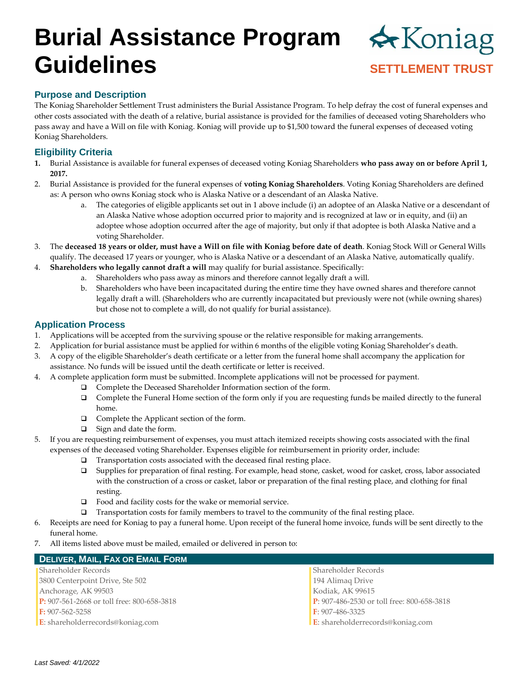# **Burial Assistance Program Guidelines** *SETTLEMENT TRUST*



### **Purpose and Description**

The Koniag Shareholder Settlement Trust administers the Burial Assistance Program. To help defray the cost of funeral expenses and other costs associated with the death of a relative, burial assistance is provided for the families of deceased voting Shareholders who pass away and have a Will on file with Koniag. Koniag will provide up to \$1,500 toward the funeral expenses of deceased voting Koniag Shareholders.

### **Eligibility Criteria**

- **1.** Burial Assistance is available for funeral expenses of deceased voting Koniag Shareholders **who pass away on or before April 1, 2017.**
- 2. Burial Assistance is provided for the funeral expenses of **voting Koniag Shareholders**. Voting Koniag Shareholders are defined as: A person who owns Koniag stock who is Alaska Native or a descendant of an Alaska Native.
	- a. The categories of eligible applicants set out in 1 above include (i) an adoptee of an Alaska Native or a descendant of an Alaska Native whose adoption occurred prior to majority and is recognized at law or in equity, and (ii) an adoptee whose adoption occurred after the age of majority, but only if that adoptee is both Alaska Native and a voting Shareholder.
- 3. The **deceased 18 years or older, must have a Will on file with Koniag before date of death**. Koniag Stock Will or General Wills qualify. The deceased 17 years or younger, who is Alaska Native or a descendant of an Alaska Native, automatically qualify.
- 4. **Shareholders who legally cannot draft a will** may qualify for burial assistance. Specifically:
	- a. Shareholders who pass away as minors and therefore cannot legally draft a will.
		- b. Shareholders who have been incapacitated during the entire time they have owned shares and therefore cannot legally draft a will. (Shareholders who are currently incapacitated but previously were not (while owning shares) but chose not to complete a will, do not qualify for burial assistance).

#### **Application Process**

- 1. Applications will be accepted from the surviving spouse or the relative responsible for making arrangements.
- 2. Application for burial assistance must be applied for within 6 months of the eligible voting Koniag Shareholder's death.
- 3. A copy of the eligible Shareholder's death certificate or a letter from the funeral home shall accompany the application for assistance. No funds will be issued until the death certificate or letter is received.
- 4. A complete application form must be submitted. Incomplete applications will not be processed for payment.
	- ❑ Complete the Deceased Shareholder Information section of the form.
	- ❑ Complete the Funeral Home section of the form only if you are requesting funds be mailed directly to the funeral home.
	- ❑ Complete the Applicant section of the form.
	- ❑ Sign and date the form.
- 5. If you are requesting reimbursement of expenses, you must attach itemized receipts showing costs associated with the final expenses of the deceased voting Shareholder. Expenses eligible for reimbursement in priority order, include:
	- ❑ Transportation costs associated with the deceased final resting place.
	- ❑ Supplies for preparation of final resting. For example, head stone, casket, wood for casket, cross, labor associated with the construction of a cross or casket, labor or preparation of the final resting place, and clothing for final resting.
	- ❑ Food and facility costs for the wake or memorial service.
	- ❑ Transportation costs for family members to travel to the community of the final resting place.
- 6. Receipts are need for Koniag to pay a funeral home. Upon receipt of the funeral home invoice, funds will be sent directly to the funeral home.
- 7. All items listed above must be mailed, emailed or delivered in person to:

| <b>DELIVER, MAIL, FAX OR EMAIL FORM</b>    |                                            |
|--------------------------------------------|--------------------------------------------|
| <b>Shareholder Records</b>                 | Shareholder Records                        |
| 3800 Centerpoint Drive, Ste 502            | 194 Alimaq Drive                           |
| Anchorage, AK 99503                        | Kodiak, AK 99615                           |
| P: 907-561-2668 or toll free: 800-658-3818 | P: 907-486-2530 or toll free: 800-658-3818 |
| F: 907-562-5258                            | $\textbf{F}$ : 907-486-3325                |
| E: shareholderrecords@koniag.com           | E: shareholderrecords@koniag.com           |